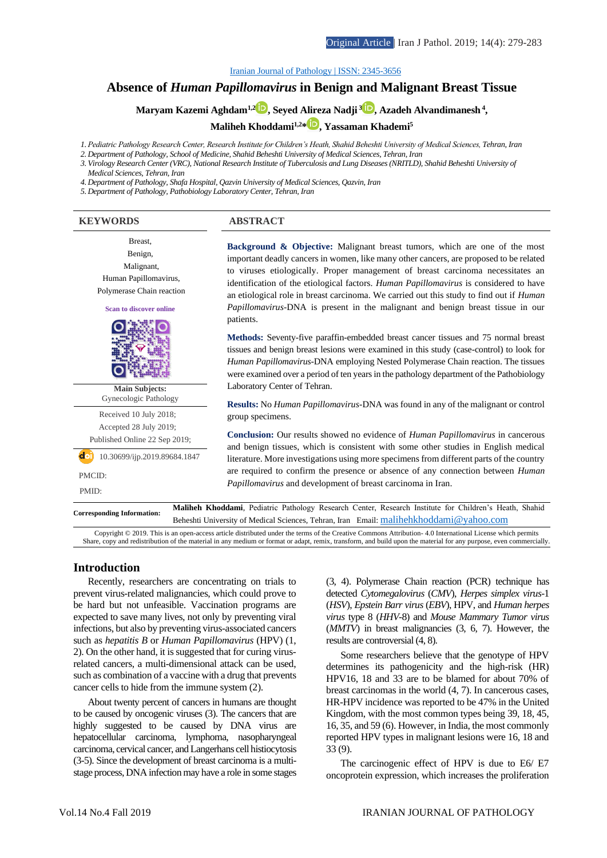#### [Iranian Journal of Pathology | ISSN: 2345-3656](http://ijp.iranpath.org/)

# **Absence of** *Human Papillomavirus* **in Benign and Malignant Breast Tissue**

**Maryam Kazemi Aghdam1,2 [,](https://www.orcid.org/0000-0001-9948-417X) Seyed Alireza Nadji [3](https://www.orcid.org/0000-0002-8823-384X) , Azadeh Alvandimanesh <sup>4</sup> ,** 

**Maliheh Khoddami1,2[\\*](https://www.orcid.org/0000-0002-5943-4458) , Yassaman Khademi<sup>5</sup>**

*1. Pediatric Pathology Research Center, Research Institute for Children's Heath, Shahid Beheshti University of Medical Sciences, Tehran, Iran*

*2. Department of Pathology, School of Medicine, Shahid Beheshti University of Medical Sciences, Tehran, Iran*

*3. Virology Research Center (VRC), National Research Institute of Tuberculosis and Lung Diseases (NRITLD), Shahid Beheshti University of Medical Sciences, Tehran, Iran*

*4. Department of Pathology, Shafa Hospital, Qazvin University of Medical Sciences, Qazvin, Iran*

*5. Department of Pathology, Pathobiology Laboratory Center, Tehran, Iran*

## **KEYWORDS ABSTRACT**

Breast, Benign, Malignant, Human Papillomavirus, Polymerase Chain reaction



**Main Subjects:**  Gynecologic Pathology

Received 10 July 2018; Accepted 28 July 2019; Published Online 22 Sep 2019;

 $\overline{d}$ <sup>1</sup> 10.30699/ijp.2019.89684.1847

PMCID:

PMID:

**Background & Objective:** Malignant breast tumors, which are one of the most important deadly cancers in women, like many other cancers, are proposed to be related to viruses etiologically. Proper management of breast carcinoma necessitates an identification of the etiological factors. *Human Papillomavirus* is considered to have an etiological role in breast carcinoma. We carried out this study to find out if *Human Papillomavirus*-DNA is present in the malignant and benign breast tissue in our patients.

**Methods:** Seventy-five paraffin-embedded breast cancer tissues and 75 normal breast tissues and benign breast lesions were examined in this study (case-control) to look for *Human Papillomavirus*-DNA employing Nested Polymerase Chain reaction. The tissues were examined over a period of ten years in the pathology department of the Pathobiology Laboratory Center of Tehran.

**Results:** No *Human Papillomavirus*-DNA was found in any of the malignant or control group specimens.

**Conclusion:** Our results showed no evidence of *Human Papillomavirus* in cancerous and benign tissues, which is consistent with some other studies in English medical literature. More investigations using more specimens from different parts of the country are required to confirm the presence or absence of any connection between *Human Papillomavirus* and development of breast carcinoma in Iran.

**Corresponding Information: Maliheh Khoddami**, Pediatric Pathology Research Center, Research Institute for Children's Heath, Shahid Beheshti University of Medical Sciences, Tehran, Iran Email: [malihehkhoddami@yahoo.com](mailto:malihehkhoddami@yahoo.com)

Copyright © 2019. This is an open-access article distributed under the terms of the Creative Commons Attribution- 4.0 International License which permits Share, copy and redistribution of the material in any medium or format or adapt, remix, transform, and build upon the material for any purpose, even commercially.

#### **Introduction**

Recently, researchers are concentrating on trials to prevent virus-related malignancies, which could prove to be hard but not unfeasible. Vaccination programs are expected to save many lives, not only by preventing viral infections, but also by preventing virus-associated cancers such as *hepatitis B* or *Human Papillomavirus* (HPV) (1, 2). On the other hand, it is suggested that for curing virusrelated cancers, a multi-dimensional attack can be used, such as combination of a vaccine with a drug that prevents cancer cells to hide from the immune system (2).

About twenty percent of cancers in humans are thought to be caused by oncogenic viruses (3). The cancers that are highly suggested to be caused by DNA virus are hepatocellular carcinoma, lymphoma, nasopharyngeal carcinoma, cervical cancer, and Langerhans cell histiocytosis (3-5). Since the development of breast carcinoma is a multistage process, DNA infection may have a role in some stages

(3, 4). Polymerase Chain reaction (PCR) technique has detected *Cytomegalovirus* (*CMV*), *Herpes simplex virus*-1 (*HSV*), *Epstein Barr virus* (*EBV*), HPV, and *Human herpes virus* type 8 (*HHV*-8) and *Mouse Mammary Tumor virus*  (*MMTV*) in breast malignancies (3, 6, 7). However, the results are controversial (4, 8).

Some researchers believe that the genotype of HPV determines its pathogenicity and the high-risk (HR) HPV16, 18 and 33 are to be blamed for about 70% of breast carcinomas in the world (4, 7). In cancerous cases, HR-HPV incidence was reported to be 47% in the United Kingdom, with the most common types being 39, 18, 45, 16, 35, and 59 (6). However, in India, the most commonly reported HPV types in malignant lesions were 16, 18 and 33 (9).

The carcinogenic effect of HPV is due to E6/ E7 oncoprotein expression, which increases the proliferation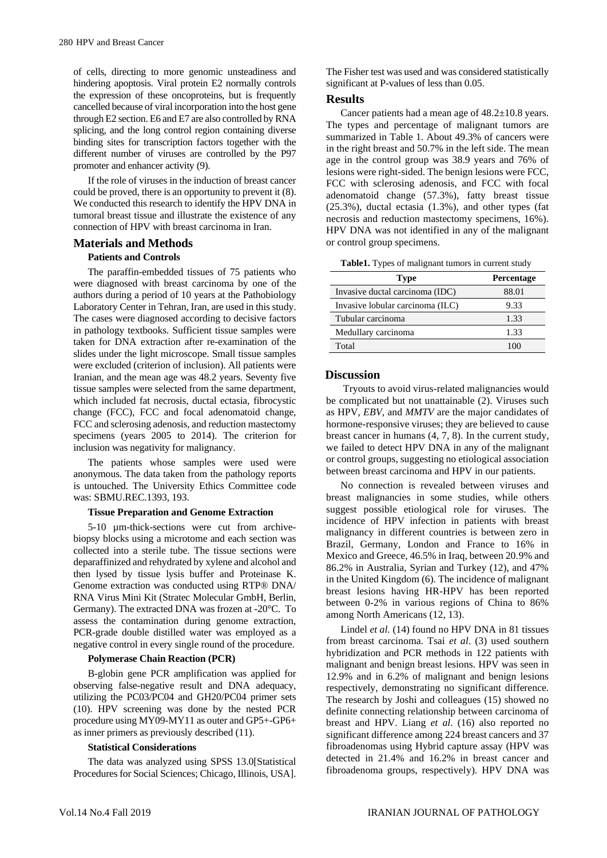of cells, directing to more genomic unsteadiness and hindering apoptosis. Viral protein E2 normally controls the expression of these oncoproteins, but is frequently cancelled because of viral incorporation into the host gene through E2 section. E6 and E7 are also controlled by RNA splicing, and the long control region containing diverse binding sites for transcription factors together with the different number of viruses are controlled by the P97 promoter and enhancer activity (9).

If the role of viruses in the induction of breast cancer could be proved, there is an opportunity to prevent it (8). We conducted this research to identify the HPV DNA in tumoral breast tissue and illustrate the existence of any connection of HPV with breast carcinoma in Iran.

### **Materials and Methods**

#### **Patients and Controls**

The paraffin-embedded tissues of 75 patients who were diagnosed with breast carcinoma by one of the authors during a period of 10 years at the Pathobiology Laboratory Center in Tehran, Iran, are used in this study. The cases were diagnosed according to decisive factors in pathology textbooks. Sufficient tissue samples were taken for DNA extraction after re-examination of the slides under the light microscope. Small tissue samples were excluded (criterion of inclusion). All patients were Iranian, and the mean age was 48.2 years. Seventy five tissue samples were selected from the same department, which included fat necrosis, ductal ectasia, fibrocystic change (FCC), FCC and focal adenomatoid change, FCC and sclerosing adenosis, and reduction mastectomy specimens (years 2005 to 2014). The criterion for inclusion was negativity for malignancy.

The patients whose samples were used were anonymous. The data taken from the pathology reports is untouched. The University Ethics Committee code was: SBMU.REC.1393, 193.

#### **Tissue Preparation and Genome Extraction**

5-10 µm-thick-sections were cut from archivebiopsy blocks using a microtome and each section was collected into a sterile tube. The tissue sections were deparaffinized and rehydrated by xylene and alcohol and then lysed by tissue lysis buffer and Proteinase K. Genome extraction was conducted using RTP® DNA/ RNA Virus Mini Kit (Stratec Molecular GmbH, Berlin, Germany). The extracted DNA was frozen at -20°C. To assess the contamination during genome extraction, PCR-grade double distilled water was employed as a negative control in every single round of the procedure.

#### **Polymerase Chain Reaction (PCR)**

B-globin gene PCR amplification was applied for observing false-negative result and DNA adequacy, utilizing the PC03/PC04 and GH20/PC04 primer sets (10). HPV screening was done by the nested PCR procedure using MY09-MY11 as outer and GP5+-GP6+ as inner primers as previously described (11).

#### **Statistical Considerations**

The data was analyzed using SPSS 13.0[Statistical Procedures for Social Sciences; Chicago, Illinois, USA].

The Fisher test was used and was considered statistically significant at P-values of less than 0.05.

## **Results**

Cancer patients had a mean age of 48.2±10.8 years. The types and percentage of malignant tumors are summarized in Table 1. About 49.3% of cancers were in the right breast and 50.7% in the left side. The mean age in the control group was 38.9 years and 76% of lesions were right-sided. The benign lesions were FCC, FCC with sclerosing adenosis, and FCC with focal adenomatoid change (57.3%), fatty breast tissue (25.3%), ductal ectasia (1.3%), and other types (fat necrosis and reduction mastectomy specimens, 16%). HPV DNA was not identified in any of the malignant or control group specimens.

**Table1.** Types of malignant tumors in current study

| <b>Type</b>                      | <b>Percentage</b> |
|----------------------------------|-------------------|
| Invasive ductal carcinoma (IDC)  | 88.01             |
| Invasive lobular carcinoma (ILC) | 9.33              |
| Tubular carcinoma                | 1.33              |
| Medullary carcinoma              | 1.33              |
| Total                            |                   |

## **Discussion**

Tryouts to avoid virus-related malignancies would be complicated but not unattainable (2). Viruses such as HPV, *EBV*, and *MMTV* are the major candidates of hormone-responsive viruses; they are believed to cause breast cancer in humans (4, 7, 8). In the current study, we failed to detect HPV DNA in any of the malignant or control groups, suggesting no etiological association between breast carcinoma and HPV in our patients.

No connection is revealed between viruses and breast malignancies in some studies, while others suggest possible etiological role for viruses. The incidence of HPV infection in patients with breast malignancy in different countries is between zero in Brazil, Germany, London and France to 16% in Mexico and Greece, 46.5% in Iraq, between 20.9% and 86.2% in Australia, Syrian and Turkey (12), and 47% in the United Kingdom (6). The incidence of malignant breast lesions having HR-HPV has been reported between 0-2% in various regions of China to 86% among North Americans (12, 13).

Lindel *et al.* (14) found no HPV DNA in 81 tissues from breast carcinoma. Tsai *et al*. (3) used southern hybridization and PCR methods in 122 patients with malignant and benign breast lesions. HPV was seen in 12.9% and in 6.2% of malignant and benign lesions respectively, demonstrating no significant difference. The research by Joshi and colleagues (15) showed no definite connecting relationship between carcinoma of breast and HPV. Liang *et al*. (16) also reported no significant difference among 224 breast cancers and 37 fibroadenomas using Hybrid capture assay (HPV was detected in 21.4% and 16.2% in breast cancer and fibroadenoma groups, respectively). HPV DNA was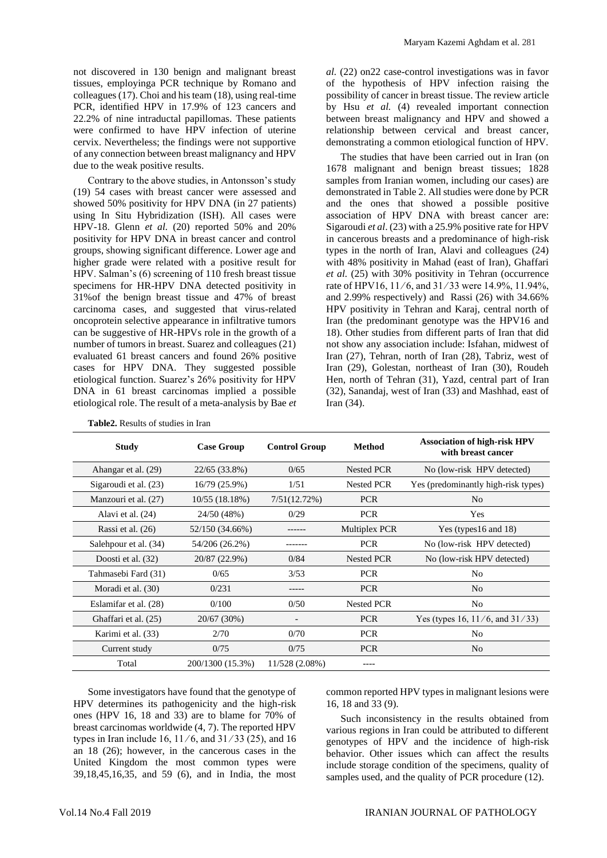not discovered in 130 benign and malignant breast tissues, employinga PCR technique by Romano and colleagues (17). Choi and his team (18), using real-time PCR, identified HPV in 17.9% of 123 cancers and 22.2% of nine intraductal papillomas. These patients were confirmed to have HPV infection of uterine cervix. Nevertheless; the findings were not supportive of any connection between breast malignancy and HPV due to the weak positive results.

Contrary to the above studies, in Antonsson's study (19) 54 cases with breast cancer were assessed and showed 50% positivity for HPV DNA (in 27 patients) using In Situ Hybridization (ISH). All cases were HPV-18. Glenn *et al.* (20) reported 50% and 20% positivity for HPV DNA in breast cancer and control groups, showing significant difference. Lower age and higher grade were related with a positive result for HPV. Salman's (6) screening of 110 fresh breast tissue specimens for HR-HPV DNA detected positivity in 31%of the benign breast tissue and 47% of breast carcinoma cases, and suggested that virus-related oncoprotein selective appearance in infiltrative tumors can be suggestive of HR-HPVs role in the growth of a number of tumors in breast. Suarez and colleagues (21) evaluated 61 breast cancers and found 26% positive cases for HPV DNA. They suggested possible etiological function. Suarez's 26% positivity for HPV DNA in 61 breast carcinomas implied a possible etiological role. The result of a meta-analysis by Bae *et* 

*al.* (22) on22 case-control investigations was in favor of the hypothesis of HPV infection raising the possibility of cancer in breast tissue. The review article by Hsu *et al.* (4) revealed important connection between breast malignancy and HPV and showed a relationship between cervical and breast cancer, demonstrating a common etiological function of HPV.

The studies that have been carried out in Iran (on 1678 malignant and benign breast tissues; 1828 samples from Iranian women, including our cases) are demonstrated in Table 2. All studies were done by PCR and the ones that showed a possible positive association of HPV DNA with breast cancer are: Sigaroudi *et al*. (23) with a 25.9% positive rate for HPV in cancerous breasts and a predominance of high-risk types in the north of Iran, Alavi and colleagues (24) with 48% positivity in Mahad (east of Iran), Ghaffari *et al.* (25) with 30% positivity in Tehran (occurrence rate of HPV16, 11 ⁄ 6, and 31 ⁄ 33 were 14.9%, 11.94%, and 2.99% respectively) and Rassi (26) with 34.66% HPV positivity in Tehran and Karaj, central north of Iran (the predominant genotype was the HPV16 and 18). Other studies from different parts of Iran that did not show any association include: Isfahan, midwest of Iran (27), Tehran, north of Iran (28), Tabriz, west of Iran (29), Golestan, northeast of Iran (30), Roudeh Hen, north of Tehran (31), Yazd, central part of Iran (32), Sanandaj, west of Iran (33) and Mashhad, east of Iran (34).

| <b>Study</b>          | <b>Case Group</b> | <b>Control Group</b> | <b>Method</b>        | <b>Association of high-risk HPV</b><br>with breast cancer |
|-----------------------|-------------------|----------------------|----------------------|-----------------------------------------------------------|
| Ahangar et al. (29)   | 22/65 (33.8%)     | 0/65                 | <b>Nested PCR</b>    | No (low-risk HPV detected)                                |
| Sigaroudi et al. (23) | 16/79 (25.9%)     | 1/51                 | <b>Nested PCR</b>    | Yes (predominantly high-risk types)                       |
| Manzouri et al. (27)  | 10/55(18.18%)     | 7/51(12.72%)         | <b>PCR</b>           | N <sub>0</sub>                                            |
| Alavi et al. (24)     | 24/50 (48%)       | 0/29                 | <b>PCR</b>           | Yes                                                       |
| Rassi et al. (26)     | 52/150 (34.66%)   | ------               | <b>Multiplex PCR</b> | Yes (types16 and 18)                                      |
| Salehpour et al. (34) | 54/206 (26.2%)    |                      | <b>PCR</b>           | No (low-risk HPV detected)                                |
| Doosti et al. (32)    | 20/87 (22.9%)     | 0/84                 | <b>Nested PCR</b>    | No (low-risk HPV detected)                                |
| Tahmasebi Fard (31)   | 0/65              | 3/53                 | <b>PCR</b>           | N <sub>0</sub>                                            |
| Moradi et al. (30)    | 0/231             |                      | <b>PCR</b>           | N <sub>o</sub>                                            |
| Eslamifar et al. (28) | 0/100             | 0/50                 | <b>Nested PCR</b>    | N <sub>o</sub>                                            |
| Ghaffari et al. (25)  | 20/67 (30%)       |                      | <b>PCR</b>           | Yes (types 16, $11/6$ , and $31/33$ )                     |
| Karimi et al. (33)    | 2/70              | 0/70                 | <b>PCR</b>           | N <sub>o</sub>                                            |
| Current study         | 0/75              | 0/75                 | <b>PCR</b>           | N <sub>o</sub>                                            |
| Total                 | 200/1300 (15.3%)  | 11/528 (2.08%)       | ----                 |                                                           |

**Table2.** Results of studies in Iran

Some investigators have found that the genotype of HPV determines its pathogenicity and the high-risk ones (HPV 16, 18 and 33) are to blame for 70% of breast carcinomas worldwide (4, 7). The reported HPV types in Iran include 16, 11 ⁄ 6, and 31 ⁄ 33 (25), and 16 an 18 (26); however, in the cancerous cases in the United Kingdom the most common types were 39,18,45,16,35, and 59 (6), and in India, the most

common reported HPV types in malignant lesions were 16, 18 and 33 (9).

Such inconsistency in the results obtained from various regions in Iran could be attributed to different genotypes of HPV and the incidence of high-risk behavior. Other issues which can affect the results include storage condition of the specimens, quality of samples used, and the quality of PCR procedure (12).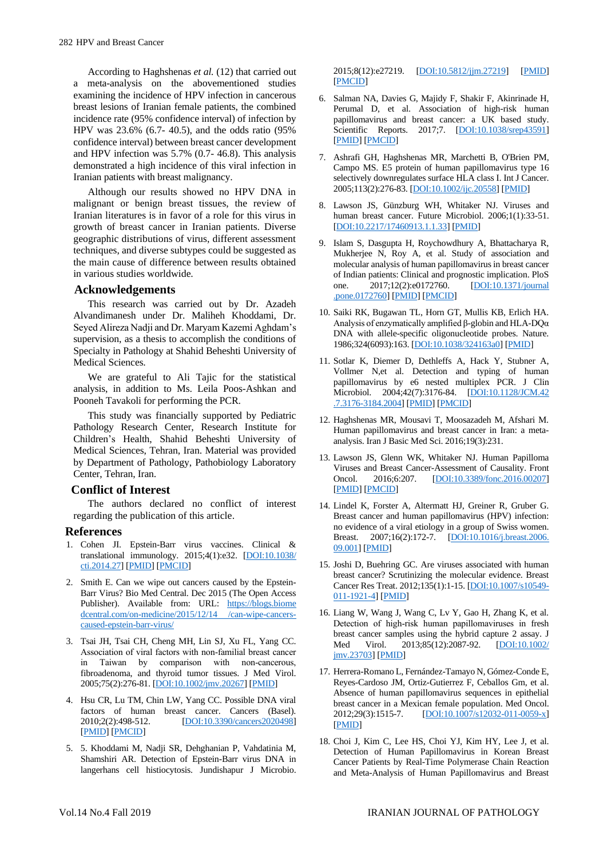According to Haghshenas *et al.* (12) that carried out a meta-analysis on the abovementioned studies examining the incidence of HPV infection in cancerous breast lesions of Iranian female patients, the combined incidence rate (95% confidence interval) of infection by HPV was 23.6% (6.7- 40.5), and the odds ratio (95% confidence interval) between breast cancer development and HPV infection was 5.7% (0.7- 46.8). This analysis demonstrated a high incidence of this viral infection in Iranian patients with breast malignancy.

Although our results showed no HPV DNA in malignant or benign breast tissues, the review of Iranian literatures is in favor of a role for this virus in growth of breast cancer in Iranian patients. Diverse geographic distributions of virus, different assessment techniques, and diverse subtypes could be suggested as the main cause of difference between results obtained in various studies worldwide.

### **Acknowledgements**

This research was carried out by Dr. Azadeh Alvandimanesh under Dr. Maliheh Khoddami, Dr. Seyed Alireza Nadji and Dr. Maryam Kazemi Aghdam's supervision, as a thesis to accomplish the conditions of Specialty in Pathology at Shahid Beheshti University of Medical Sciences.

We are grateful to Ali Tajic for the statistical analysis, in addition to Ms. Leila Poos-Ashkan and Pooneh Tavakoli for performing the PCR.

This study was financially supported by Pediatric Pathology Research Center, Research Institute for Children's Health, Shahid Beheshti University of Medical Sciences, Tehran, Iran. Material was provided by Department of Pathology, Pathobiology Laboratory Center, Tehran, Iran.

## **Conflict of Interest**

The authors declared no conflict of interest regarding the publication of this article.

#### **References**

- 1. Cohen JI. Epstein-Barr virus vaccines. Clinical & translational immunology. 2015;4(1):e32. [\[DOI:10.1038/](https://doi.org/10.1038/cti.2014.27) [cti.2014.27\]](https://doi.org/10.1038/cti.2014.27) [\[PMID\]](https://www.ncbi.nlm.nih.gov/pubmed/25671130) [\[PMCID\]](http://www.ncbi.nlm.nih.gov/pmc/articles/PMC4318489)
- 2. Smith E. Can we wipe out cancers caused by the Epstein-Barr Virus? Bio Med Central. Dec 2015 (The Open Access Publisher). Available from: URL: https://blogs.biome dcentral.com/on-medicine/2015/12/14 /can-wipe-cancerscaused-epstein-barr-virus/
- 3. Tsai JH, Tsai CH, Cheng MH, Lin SJ, Xu FL, Yang CC. Association of viral factors with non‐familial breast cancer in Taiwan by comparison with non-cancerous, fibroadenoma, and thyroid tumor tissues. J Med Virol. 2005;75(2):276-81. [\[DOI:10.1002/jmv.20267\]](https://doi.org/10.1002/jmv.20267) [\[PMID\]](https://www.ncbi.nlm.nih.gov/pubmed/15602723)
- 4. Hsu CR, Lu TM, Chin LW, Yang CC. Possible DNA viral factors of human breast cancer. Cancers (Basel).<br>2010:2(2):498-512. [DOI:10.3390/cancers2020498] [\[DOI:10.3390/cancers2020498\]](https://doi.org/10.3390/cancers2020498) [\[PMID\]](https://www.ncbi.nlm.nih.gov/pubmed/24281079) [\[PMCID\]](http://www.ncbi.nlm.nih.gov/pmc/articles/PMC3835088)
- 5. 5. Khoddami M, Nadji SR, Dehghanian P, Vahdatinia M, Shamshiri AR. Detection of Epstein-Barr virus DNA in langerhans cell histiocytosis. Jundishapur J Microbio.

2015;8(12):e27219. [\[DOI:10.5812/jjm.27219\]](https://doi.org/10.5812/jjm.27219) [\[PMID\]](https://www.ncbi.nlm.nih.gov/pubmed/26870310) [\[PMCID\]](http://www.ncbi.nlm.nih.gov/pmc/articles/PMC4746794)

- 6. Salman NA, Davies G, Majidy F, Shakir F, Akinrinade H, Perumal D, et al. Association of high-risk human papillomavirus and breast cancer: a UK based study. Scientific Reports. 2017;7. [\[DOI:10.1038/srep43591\]](https://doi.org/10.1038/srep43591) [\[PMID\]](https://www.ncbi.nlm.nih.gov/pubmed/28240743) [\[PMCID\]](http://www.ncbi.nlm.nih.gov/pmc/articles/PMC5378907)
- 7. Ashrafi GH, Haghshenas MR, Marchetti B, O'Brien PM, Campo MS. E5 protein of human papillomavirus type 16 selectively downregulates surface HLA class I. Int J Cancer. 2005;113(2):276-83. [\[DOI:10.1002/ijc.20558\]](https://doi.org/10.1002/ijc.20558) [\[PMID\]](https://www.ncbi.nlm.nih.gov/pubmed/15386416)
- 8. Lawson JS, Günzburg WH, Whitaker NJ. Viruses and human breast cancer. Future Microbiol. 2006;1(1):33-51. [\[DOI:10.2217/17460913.1.1.33\]](https://doi.org/10.2217/17460913.1.1.33) [\[PMID\]](https://www.ncbi.nlm.nih.gov/pubmed/17661684)
- 9. Islam S, Dasgupta H, Roychowdhury A, Bhattacharya R, Mukherjee N, Roy A, et al. Study of association and molecular analysis of human papillomavirus in breast cancer of Indian patients: Clinical and prognostic implication. PloS one. 2017;12(2):e0172760. [\[DOI:10.1371/journal](https://doi.org/10.1371/journal.pone.0172760) [.pone.0172760\]](https://doi.org/10.1371/journal.pone.0172760) [\[PMID\]](https://www.ncbi.nlm.nih.gov/pubmed/28245287) [\[PMCID\]](http://www.ncbi.nlm.nih.gov/pmc/articles/PMC5330495)
- 10. Saiki RK, Bugawan TL, Horn GT, Mullis KB, Erlich HA. Analysis of enzymatically amplified β-globin and HLA-DQα DNA with allele-specific oligonucleotide probes. Nature. 1986;324(6093):163. [\[DOI:10.1038/324163a0\]](https://doi.org/10.1038/324163a0) [\[PMID\]](https://www.ncbi.nlm.nih.gov/pubmed/3785382)
- 11. Sotlar K, Diemer D, Dethleffs A, Hack Y, Stubner A, Vollmer N,et al. Detection and typing of human papillomavirus by e6 nested multiplex PCR. J Clin Microbiol. 2004;42(7):3176-84. [\[DOI:10.1128/JCM.42](https://doi.org/10.1128/JCM.42.7.3176-3184.2004) [.7.3176-3184.2004\]](https://doi.org/10.1128/JCM.42.7.3176-3184.2004) [\[PMID\]](https://www.ncbi.nlm.nih.gov/pubmed/15243079) [\[PMCID\]](http://www.ncbi.nlm.nih.gov/pmc/articles/PMC446280)
- 12. Haghshenas MR, Mousavi T, Moosazadeh M, Afshari M. Human papillomavirus and breast cancer in Iran: a metaanalysis. Iran J Basic Med Sci. 2016;19(3):231.
- 13. Lawson JS, Glenn WK, Whitaker NJ. Human Papilloma Viruses and Breast Cancer-Assessment of Causality. Front Oncol. 2016.6:207. [DOI:10.3389/fonc.2016.00207] Oncol. 2016;6:207. [\[DOI:10.3389/fonc.2016.00207\]](https://doi.org/10.3389/fonc.2016.00207) [\[PMID\]](https://www.ncbi.nlm.nih.gov/pubmed/27747193) [\[PMCID\]](http://www.ncbi.nlm.nih.gov/pmc/articles/PMC5040724)
- 14. Lindel K, Forster A, Altermatt HJ, Greiner R, Gruber G. Breast cancer and human papillomavirus (HPV) infection: no evidence of a viral etiology in a group of Swiss women. Breast. 2007;16(2):172-7. [\[DOI:10.1016/j.breast.2006.](https://doi.org/10.1016/j.breast.2006.09.001) [09.001\]](https://doi.org/10.1016/j.breast.2006.09.001) [\[PMID\]](https://www.ncbi.nlm.nih.gov/pubmed/17088061)
- 15. Joshi D, Buehring GC. Are viruses associated with human breast cancer? Scrutinizing the molecular evidence. Breast Cancer Res Treat. 2012;135(1):1-15. [\[DOI:10.1007/s10549-](https://doi.org/10.1007/s10549-011-1921-4) [011-1921-4\]](https://doi.org/10.1007/s10549-011-1921-4) [\[PMID\]](https://www.ncbi.nlm.nih.gov/pubmed/22274134)
- 16. Liang W, Wang J, Wang C, Lv Y, Gao H, Zhang K, et al. Detection of high-risk human papillomaviruses in fresh breast cancer samples using the hybrid capture 2 assay. J<br>Med Virol. 2013;85(12):2087-92. [DOI:10.1002/ Med Virol. 2013;85(12):2087-92. [jmv.23703\]](https://doi.org/10.1002/jmv.23703) [\[PMID\]](https://www.ncbi.nlm.nih.gov/pubmed/23959946)
- 17. Herrera-Romano L, Fernández-Tamayo N, Gómez-Conde E, Reyes-Cardoso JM, Ortiz-Gutierrez F, Ceballos Gm, et al. Absence of human papillomavirus sequences in epithelial breast cancer in a Mexican female population. Med Oncol. 2012;29(3):1515-7. [\[DOI:10.1007/s12032-011-0059-x\]](https://doi.org/10.1007/s12032-011-0059-x) [\[PMID\]](https://www.ncbi.nlm.nih.gov/pubmed/21909942)
- 18. Choi J, Kim C, Lee HS, Choi YJ, Kim HY, Lee J, et al. Detection of Human Papillomavirus in Korean Breast Cancer Patients by Real-Time Polymerase Chain Reaction and Meta-Analysis of Human Papillomavirus and Breast